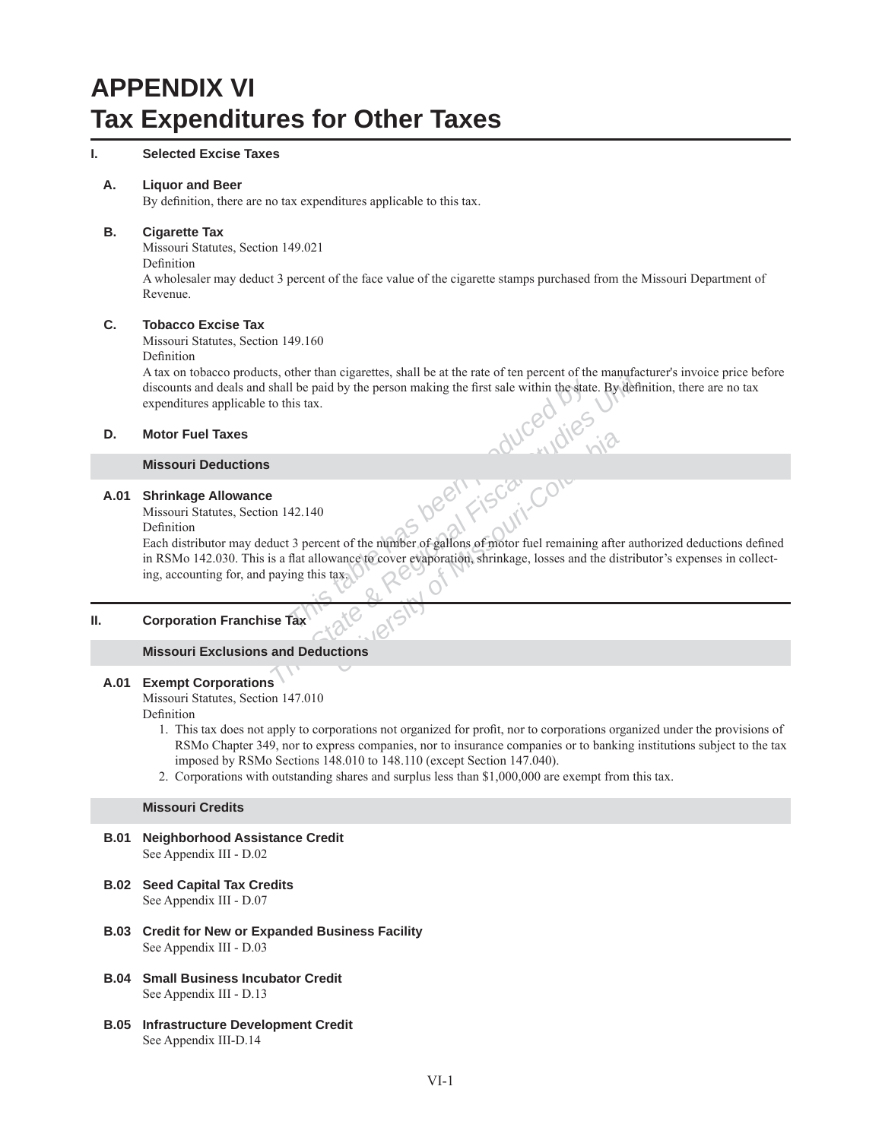# **APPENDIX VI Tax Expenditures for Other Taxes**

#### **I. Selected Excise Taxes**

#### **A. Liquor and Beer**

By definition, there are no tax expenditures applicable to this tax.

#### **B. Cigarette Tax**

Missouri Statutes, Section 149.021

Definition

A wholesaler may deduct 3 percent of the face value of the cigarette stamps purchased from the Missouri Department of Revenue.

### **C. Tobacco Excise Tax**

Missouri Statutes, Section 149.160

Definition

A tax on tobacco products, other than cigarettes, shall be at the rate of ten percent of the manufacturer's invoice price before discounts and deals and shall be paid by the person making the first sale within the state. By definition, there are no tax expenditures applicable to this tax.

#### **D. Motor Fuel Taxes**

#### **Missouri Deductions**

#### **A.01 Shrinkage Allowance**

Missouri Statutes, Section 142.140

Definition

**This tax**<br> **This table has a fluid by the person making the first sale within the state. By definition** of this tax.<br> **This tax.**<br> **This tax.**<br> **This tax.**<br> **This tax.**<br> **This tax.**<br> **This tax.**<br> **This tax.**<br> **This tax.**<br> Each distributor may deduct 3 percent of the number of gallons of motor fuel remaining after authorized deductions defined in RSMo 142.030. This is a flat allowance to cover evaporation, shrinkage, losses and the distributor's expenses in collecting, accounting for, and paying this tax.

#### **II. Corporation Franchise Tax**

#### **Missouri Exclusions and Deductions**

#### **A.01 Exempt Corporations**

Missouri Statutes, Section 147.010

Definition

- 1. This tax does not apply to corporations not organized for profit, nor to corporations organized under the provisions of RSMo Chapter 349, nor to express companies, nor to insurance companies or to banking institutions subject to the tax imposed by RSMo Sections 148.010 to 148.110 (except Section 147.040).
- 2. Corporations with outstanding shares and surplus less than \$1,000,000 are exempt from this tax.

#### **Missouri Credits**

- **B.01 Neighborhood Assistance Credit** See Appendix III - D.02
- **B.02 Seed Capital Tax Credits** See Appendix III - D.07
- **B.03 Credit for New or Expanded Business Facility** See Appendix III - D.03
- **B.04 Small Business Incubator Credit** See Appendix III - D.13
- **B.05 Infrastructure Development Credit** See Appendix III-D.14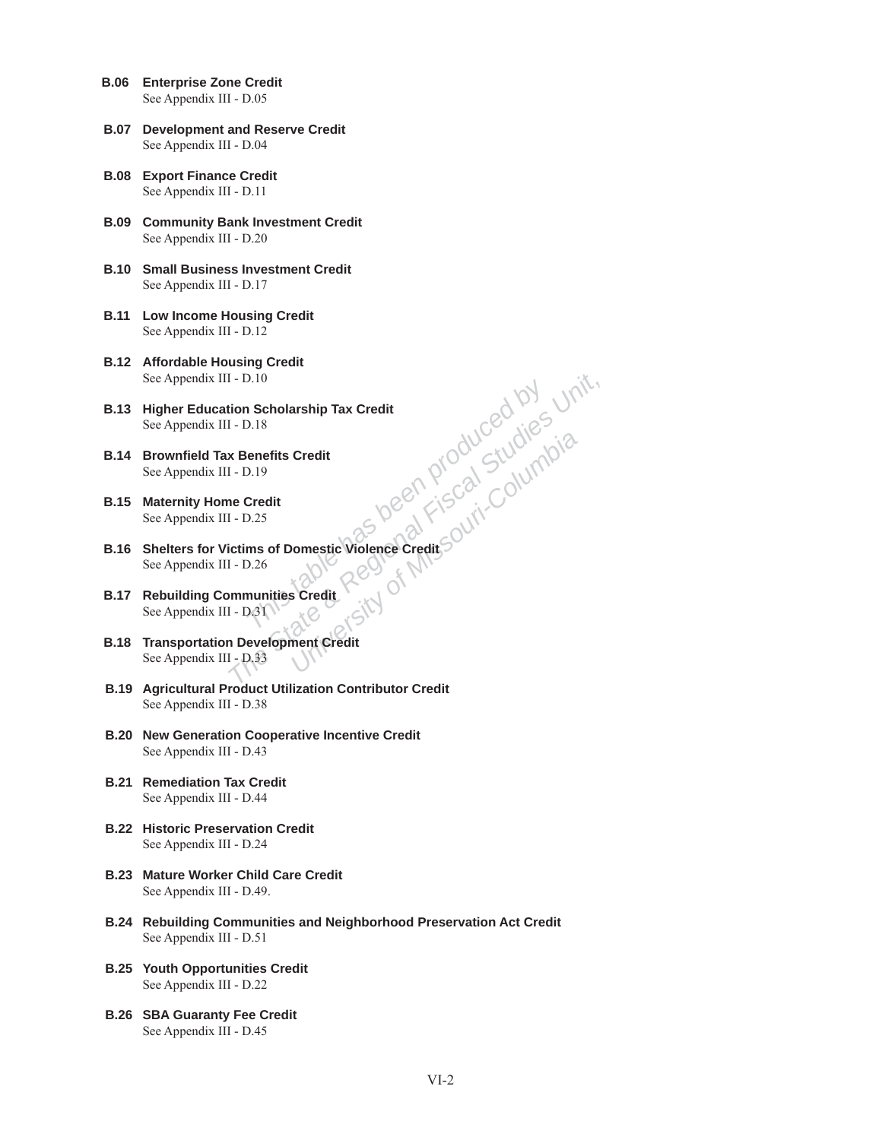- **B.06 Enterprise Zone Credit** See Appendix III - D.05
- **B.07 Development and Reserve Credit** See Appendix III - D.04
- **B.08 Export Finance Credit** See Appendix III - D.11
- **B.09 Community Bank Investment Credit** See Appendix III - D.20
- **B.10 Small Business Investment Credit** See Appendix III - D.17
- **B.11 Low Income Housing Credit** See Appendix III - D.12
- **B.12 Affordable Housing Credit** See Appendix III - D.10
- **B.13 Higher Education Scholarship Tax Credit** See Appendix III - D.18
- **B.14 Brownfield Tax Benefits Credit** See Appendix III - D.19
- **B.15 Maternity Home Credit** See Appendix III - D.25
- **The State State State State State State State State State State State State State State State State State State State State State State State State State State State State State State State State State State State State S B.16 Shelters for Victims of Domestic Violence Credit** See Appendix III - D.26
- **B.17 Rebuilding Communities Credit** See Appendix III - D.31
- **B.18 Transportation Development Credit** See Appendix III - D.33
	- **B.19 Agricultural Product Utilization Contributor Credit** See Appendix III - D.38
	- **B.20 New Generation Cooperative Incentive Credit** See Appendix III - D.43
	- **B.21 Remediation Tax Credit** See Appendix III - D.44
	- **B.22 Historic Preservation Credit** See Appendix III - D.24
	- **B.23 Mature Worker Child Care Credit** See Appendix III - D.49.
	- **B.24 Rebuilding Communities and Neighborhood Preservation Act Credit** See Appendix III - D.51
	- **B.25 Youth Opportunities Credit** See Appendix III - D.22
	- **B.26 SBA Guaranty Fee Credit** See Appendix III - D.45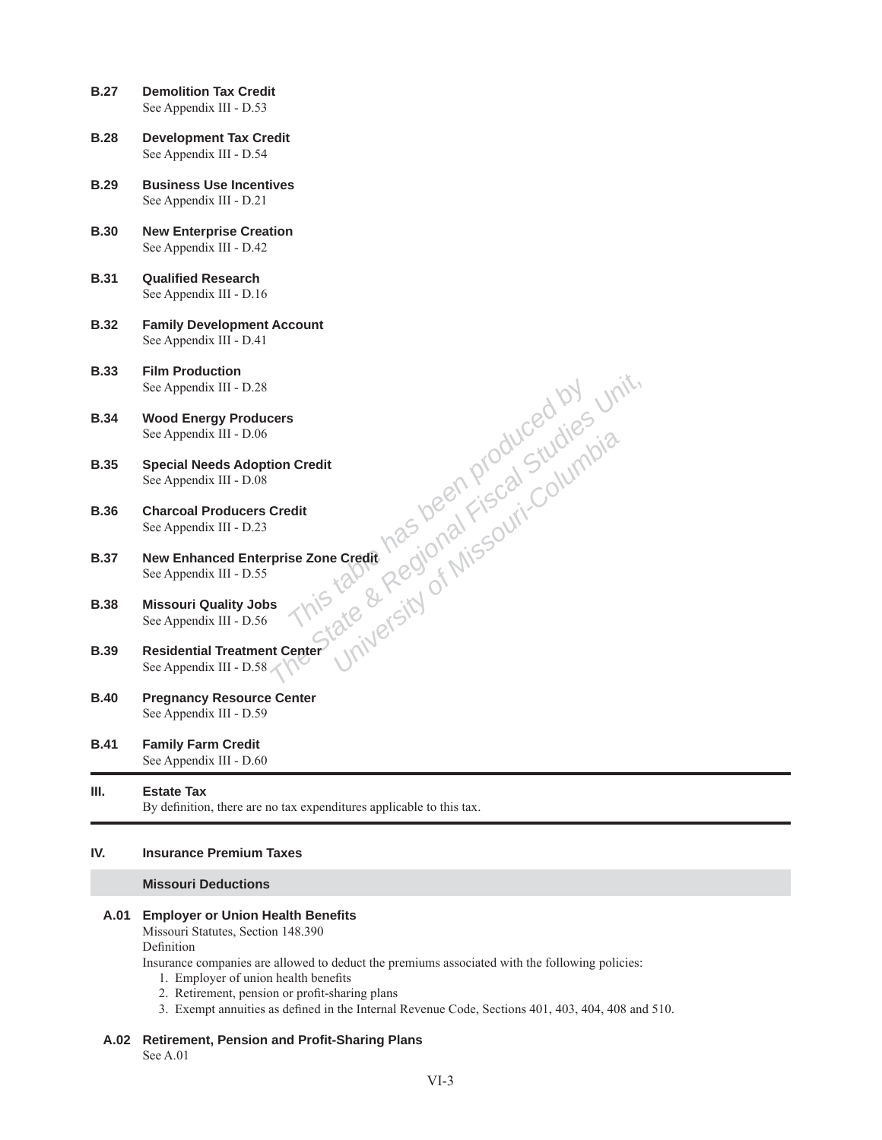- **B.27 Demolition Tax Credit**  See Appendix III - D.53
- **B.28 Development Tax Credit** See Appendix III - D.54
- **B.29 Business Use Incentives**  See Appendix III - D.21
- **B.30 New Enterprise Creation**  See Appendix III - D.42
- **B.31** Qualified Research See Appendix III - D.16
- **B.32 Family Development Account** See Appendix III - D.41
- **B.33 Film Production**  See Appendix III - D.28
- **B.34 Wood Energy Producers** See Appendix III - D.06
- **B.35 Special Needs Adoption Credit**  See Appendix III - D.08
- **B.36 Charcoal Producers Credit**  See Appendix III - D.23
- Prise Zone Credit<br>
Prise Zone Credit<br>
Prise Zone Credit<br>
Prise Zone Credit<br>
State & Regional Fiscal Studies Unit,<br>
State & Regional Fiscal Studies Unit,<br>
internet University of Missouri-Columbia<br> **Center** University **B.37 New Enhanced Enterprise Zone Credit**  See Appendix III - D.55
- **B.38 Missouri Quality Jobs**  See Appendix III - D.56
- **B.39 Residential Treatment Center**  See Appendix III - D.58
- **B.40 Pregnancy Resource Center**  See Appendix III - D.59
- **B.41 Family Farm Credit**  See Appendix III - D.60

# **III. Estate Tax**

By definition, there are no tax expenditures applicable to this tax.

## **IV. Insurance Premium Taxes**

#### **Missouri Deductions**

#### **A.01 Employer or Union Health Benefits**

Missouri Statutes, Section 148.390 Definition

Insurance companies are allowed to deduct the premiums associated with the following policies:

- 1. Employer of union health benefits
- 2. Retirement, pension or profit-sharing plans
- 3. Exempt annuities as defined in the Internal Revenue Code, Sections 401, 403, 404, 408 and 510.

#### **A.02 Retirement, Pension and Profi t-Sharing Plans**

See A.01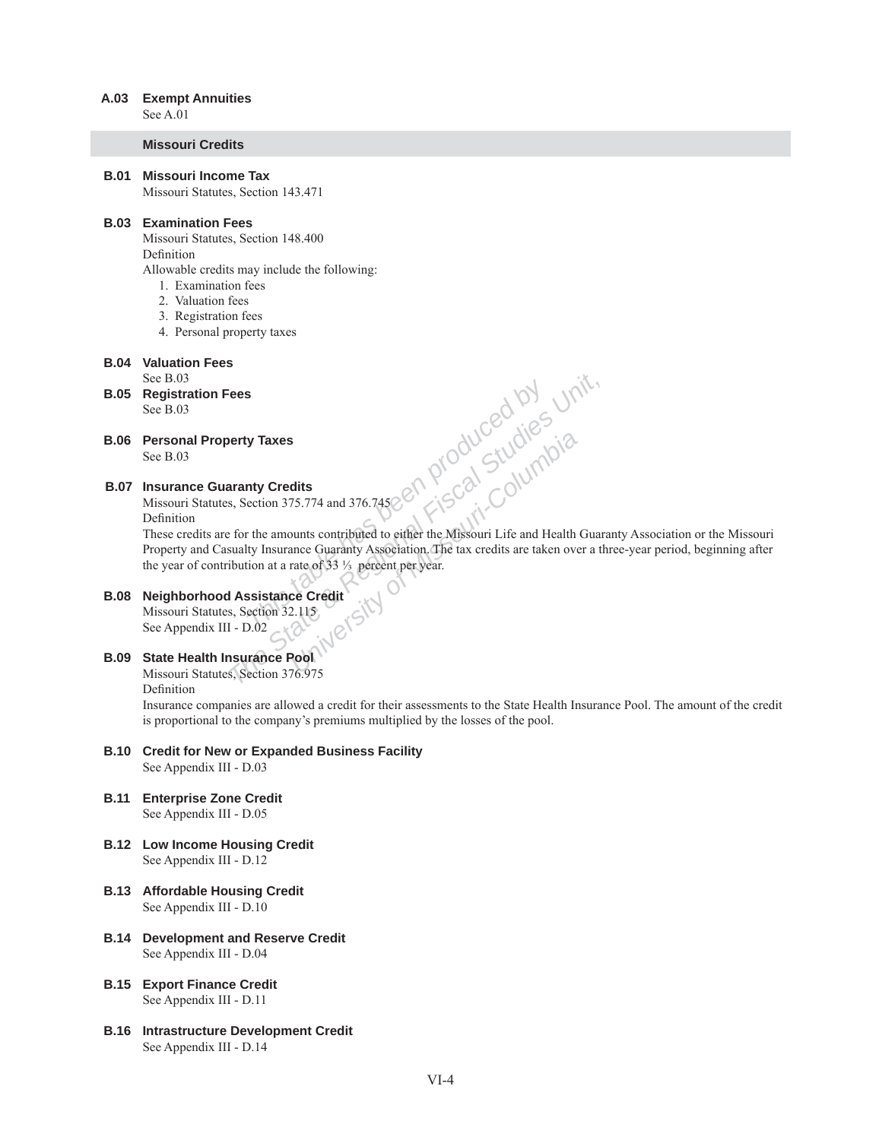#### **A.03 Exempt Annuities**

See A.01

#### **Missouri Credits**

 **B.01 Missouri Income Tax** Missouri Statutes, Section 143.471

#### **B.03 Examination Fees**

Missouri Statutes, Section 148.400 Definition

- Allowable credits may include the following:
	- 1. Examination fees
	- 2. Valuation fees
	- 3. Registration fees
	- 4. Personal property taxes
- **B.04 Valuation Fees**

See B.03

- **B.05 Registration Fees** See B.03
- **B.06 Personal Property Taxes** See B.03

# **B.07 Insurance Guaranty Credits**

Missouri Statutes, Section 375.774 and 376.745 Definition

**This table was a region** and the Missouri-Columbia<br> **The State State By Studies**<br> **The State By State By Studies And The State By Studies**<br> **The State By Insurance Guaranty Association**, the tax credits are taken over a t These credits are for the amounts contributed to either the Missouri Life and Health Guaranty Association or the Missouri Property and Casualty Insurance Guaranty Association. The tax credits are taken over a three-year period, beginning after the year of contribution at a rate of 33  $\frac{1}{3}$  percent per year.

# **B.08 Neighborhood Assistance Credit**

Missouri Statutes, Section 32.115 See Appendix III - D.02

# **B.09 State Health Insurance Pool**

Missouri Statutes, Section 376.975

Definition

Insurance companies are allowed a credit for their assessments to the State Health Insurance Pool. The amount of the credit is proportional to the company's premiums multiplied by the losses of the pool.

#### **B.10 Credit for New or Expanded Business Facility** See Appendix III - D.03

- **B.11 Enterprise Zone Credit** See Appendix III - D.05
- **B.12 Low Income Housing Credit** See Appendix III - D.12
- **B.13 Affordable Housing Credit** See Appendix III - D.10
- **B.14 Development and Reserve Credit** See Appendix III - D.04
- **B.15 Export Finance Credit** See Appendix III - D.11
- **B.16 Intrastructure Development Credit** See Appendix III - D.14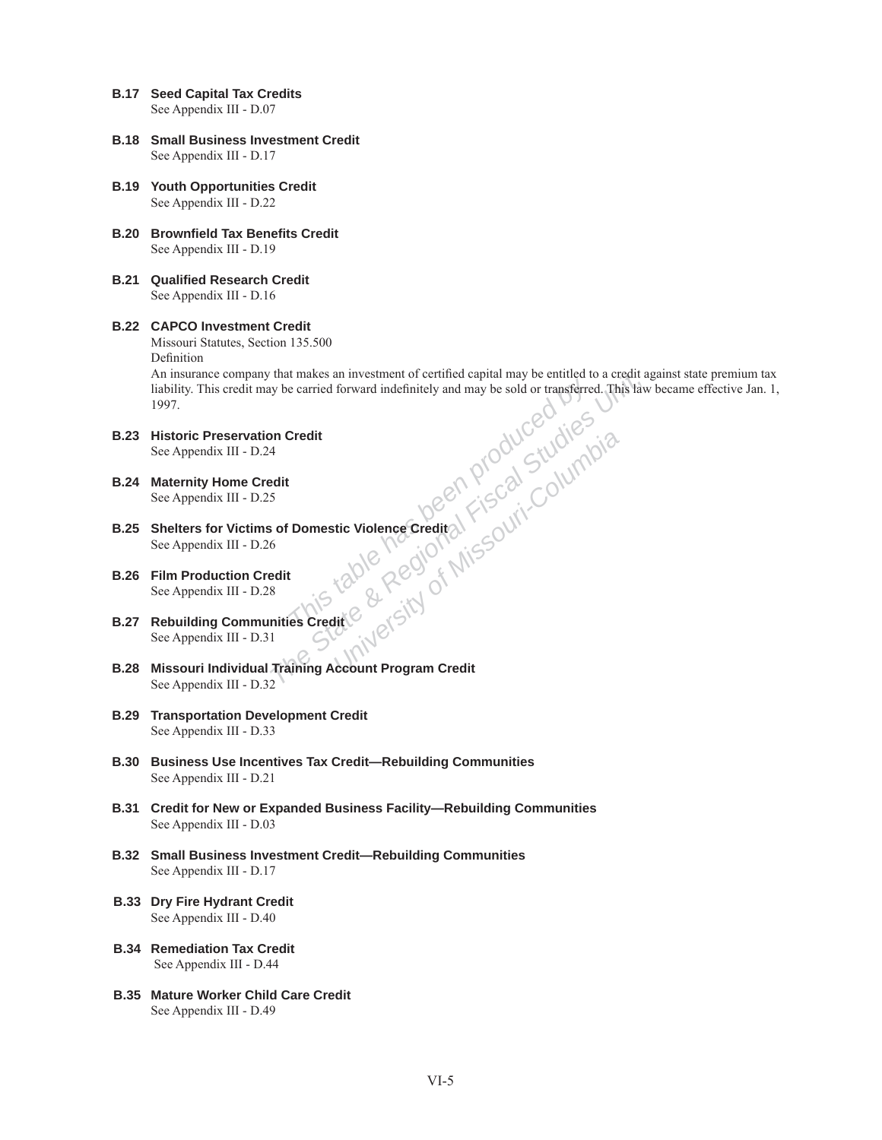- **B.17 Seed Capital Tax Credits** See Appendix III - D.07
- **B.18 Small Business Investment Credit** See Appendix III - D.17
- **B.19 Youth Opportunities Credit** See Appendix III - D.22
- **B.20 Brownfield Tax Benefits Credit** See Appendix III - D.19
- **B.21 Qualified Research Credit** See Appendix III - D.16

# **B.22 CAPCO Investment Credit**

Missouri Statutes, Section 135.500

Definition

*That makes an investment of certified capital may be entitled to a credit a*<br> *This faxe were credit* and may be sold or transferred. This faxe<br> **An Credit**<br> **An Credit**<br> **An Credit**<br> **An Credit**<br> **An Credit**<br> **Example 2** An insurance company that makes an investment of certified capital may be entitled to a credit against state premium tax liability. This credit may be carried forward indefinitely and may be sold or transferred. This law became effective Jan. 1, 1997.

- **B.23 Historic Preservation Credit** See Appendix III - D.24
- **B.24 Maternity Home Credit** See Appendix III - D.25
- **B.25 Shelters for Victims of Domestic Violence Credit** See Appendix III - D.26
- **B.26 Film Production Credit** See Appendix III - D.28
- **B.27 Rebuilding Communities Credit** See Appendix III - D.31
- **B.28 Missouri Individual Training Account Program Credit** See Appendix III - D.32
- **B.29 Transportation Development Credit** See Appendix III - D.33
	- **B.30 Business Use Incentives Tax Credit—Rebuilding Communities** See Appendix III - D.21
	- **B.31 Credit for New or Expanded Business Facility—Rebuilding Communities** See Appendix III - D.03
	- **B.32 Small Business Investment Credit—Rebuilding Communities** See Appendix III - D.17
	- **B.33 Dry Fire Hydrant Credit** See Appendix III - D.40
	- **B.34 Remediation Tax Credit** See Appendix III - D.44
	- **B.35 Mature Worker Child Care Credit** See Appendix III - D.49